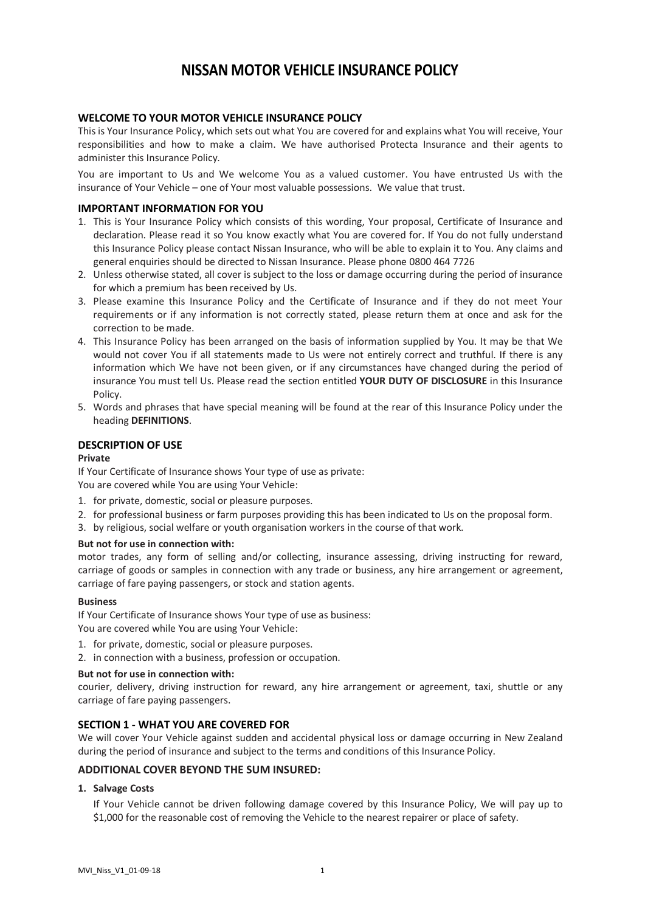# **NISSAN MOTOR VEHICLE INSURANCE POLICY**

# **WELCOME TO YOUR MOTOR VEHICLE INSURANCE POLICY**

This is Your Insurance Policy, which sets out what You are covered for and explains what You will receive, Your responsibilities and how to make a claim. We have authorised Protecta Insurance and their agents to administer this Insurance Policy.

You are important to Us and We welcome You as a valued customer. You have entrusted Us with the insurance of Your Vehicle – one of Your most valuable possessions. We value that trust.

# **IMPORTANT INFORMATION FOR YOU**

- 1. This is Your Insurance Policy which consists of this wording, Your proposal, Certificate of Insurance and declaration. Please read it so You know exactly what You are covered for. If You do not fully understand this Insurance Policy please contact Nissan Insurance, who will be able to explain it to You. Any claims and general enquiries should be directed to Nissan Insurance. Please phone 0800 464 7726
- 2. Unless otherwise stated, all cover is subject to the loss or damage occurring during the period of insurance for which a premium has been received by Us.
- 3. Please examine this Insurance Policy and the Certificate of Insurance and if they do not meet Your requirements or if any information is not correctly stated, please return them at once and ask for the correction to be made.
- 4. This Insurance Policy has been arranged on the basis of information supplied by You. It may be that We would not cover You if all statements made to Us were not entirely correct and truthful. If there is any information which We have not been given, or if any circumstances have changed during the period of insurance You must tell Us. Please read the section entitled **YOUR DUTY OF DISCLOSURE** in this Insurance Policy.
- 5. Words and phrases that have special meaning will be found at the rear of this Insurance Policy under the heading **DEFINITIONS**.

# **DESCRIPTION OF USE**

#### **Private**

If Your Certificate of Insurance shows Your type of use as private:

You are covered while You are using Your Vehicle:

- 1. for private, domestic, social or pleasure purposes.
- 2. for professional business or farm purposes providing this has been indicated to Us on the proposal form.
- 3. by religious, social welfare or youth organisation workers in the course of that work.

#### **But not for use in connection with:**

motor trades, any form of selling and/or collecting, insurance assessing, driving instructing for reward, carriage of goods or samples in connection with any trade or business, any hire arrangement or agreement, carriage of fare paying passengers, or stock and station agents.

#### **Business**

If Your Certificate of Insurance shows Your type of use as business: You are covered while You are using Your Vehicle:

- 1. for private, domestic, social or pleasure purposes.
- 2. in connection with a business, profession or occupation.

#### **But not for use in connection with:**

courier, delivery, driving instruction for reward, any hire arrangement or agreement, taxi, shuttle or any carriage of fare paying passengers.

# **SECTION 1 - WHAT YOU ARE COVERED FOR**

We will cover Your Vehicle against sudden and accidental physical loss or damage occurring in New Zealand during the period of insurance and subject to the terms and conditions of this Insurance Policy.

### **ADDITIONAL COVER BEYOND THE SUM INSURED:**

### **1. Salvage Costs**

If Your Vehicle cannot be driven following damage covered by this Insurance Policy, We will pay up to \$1,000 for the reasonable cost of removing the Vehicle to the nearest repairer or place of safety.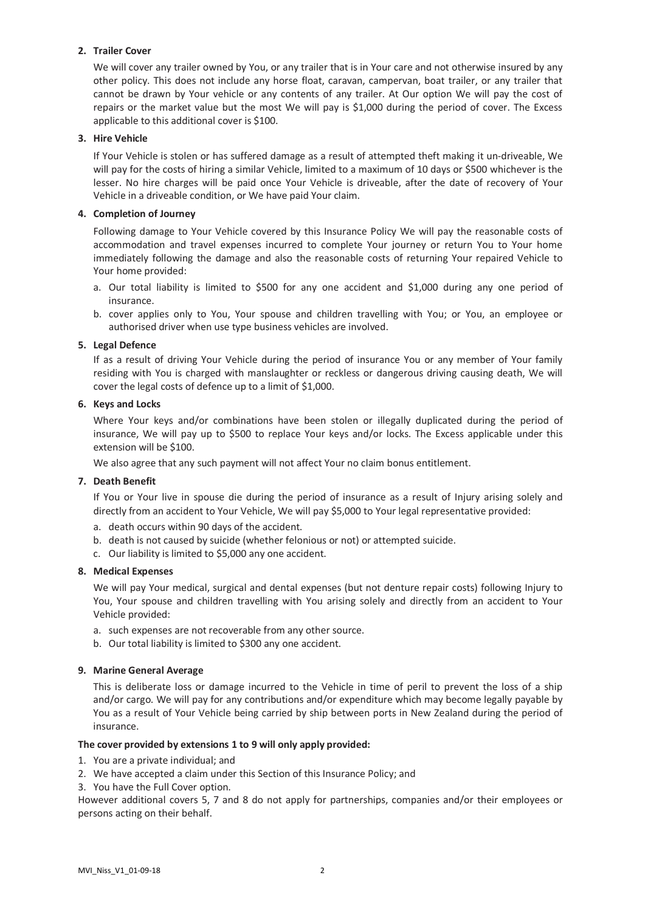# **2. Trailer Cover**

We will cover any trailer owned by You, or any trailer that is in Your care and not otherwise insured by any other policy. This does not include any horse float, caravan, campervan, boat trailer, or any trailer that cannot be drawn by Your vehicle or any contents of any trailer. At Our option We will pay the cost of repairs or the market value but the most We will pay is \$1,000 during the period of cover. The Excess applicable to this additional cover is \$100.

# **3. Hire Vehicle**

If Your Vehicle is stolen or has suffered damage as a result of attempted theft making it un-driveable, We will pay for the costs of hiring a similar Vehicle, limited to a maximum of 10 days or \$500 whichever is the lesser. No hire charges will be paid once Your Vehicle is driveable, after the date of recovery of Your Vehicle in a driveable condition, or We have paid Your claim.

# **4. Completion of Journey**

Following damage to Your Vehicle covered by this Insurance Policy We will pay the reasonable costs of accommodation and travel expenses incurred to complete Your journey or return You to Your home immediately following the damage and also the reasonable costs of returning Your repaired Vehicle to Your home provided:

- a. Our total liability is limited to \$500 for any one accident and \$1,000 during any one period of insurance.
- b. cover applies only to You, Your spouse and children travelling with You; or You, an employee or authorised driver when use type business vehicles are involved.

# **5. Legal Defence**

If as a result of driving Your Vehicle during the period of insurance You or any member of Your family residing with You is charged with manslaughter or reckless or dangerous driving causing death, We will cover the legal costs of defence up to a limit of \$1,000.

# **6. Keys and Locks**

Where Your keys and/or combinations have been stolen or illegally duplicated during the period of insurance, We will pay up to \$500 to replace Your keys and/or locks. The Excess applicable under this extension will be \$100.

We also agree that any such payment will not affect Your no claim bonus entitlement.

# **7. Death Benefit**

If You or Your live in spouse die during the period of insurance as a result of Injury arising solely and directly from an accident to Your Vehicle, We will pay \$5,000 to Your legal representative provided:

- a. death occurs within 90 days of the accident.
- b. death is not caused by suicide (whether felonious or not) or attempted suicide.
- c. Our liability is limited to \$5,000 any one accident.

# **8. Medical Expenses**

We will pay Your medical, surgical and dental expenses (but not denture repair costs) following Injury to You, Your spouse and children travelling with You arising solely and directly from an accident to Your Vehicle provided:

- a. such expenses are not recoverable from any other source.
- b. Our total liability is limited to \$300 any one accident.

# **9. Marine General Average**

This is deliberate loss or damage incurred to the Vehicle in time of peril to prevent the loss of a ship and/or cargo. We will pay for any contributions and/or expenditure which may become legally payable by You as a result of Your Vehicle being carried by ship between ports in New Zealand during the period of insurance.

# **The cover provided by extensions 1 to 9 will only apply provided:**

- 1. You are a private individual; and
- 2. We have accepted a claim under this Section of this Insurance Policy; and
- 3. You have the Full Cover option.

However additional covers 5, 7 and 8 do not apply for partnerships, companies and/or their employees or persons acting on their behalf.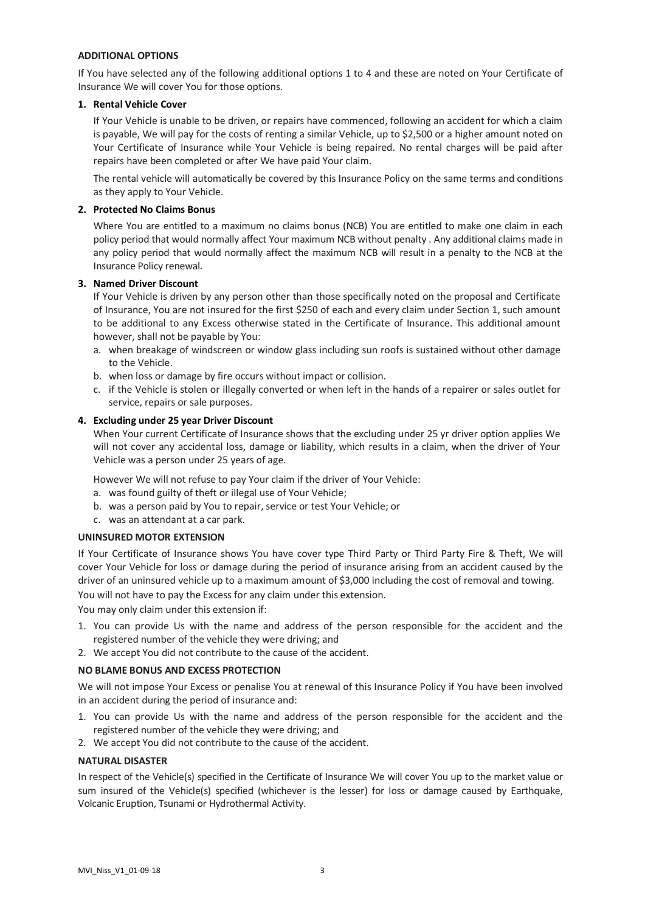# **ADDITIONAL OPTIONS**

If You have selected any of the following additional options 1 to 4 and these are noted on Your Certificate of Insurance We will cover You for those options.

### **1. Rental Vehicle Cover**

If Your Vehicle is unable to be driven, or repairs have commenced, following an accident for which a claim is payable, We will pay for the costs of renting a similar Vehicle, up to \$2,500 or a higher amount noted on Your Certificate of Insurance while Your Vehicle is being repaired. No rental charges will be paid after repairs have been completed or after We have paid Your claim.

The rental vehicle will automatically be covered by this Insurance Policy on the same terms and conditions as they apply to Your Vehicle.

### **2. Protected No Claims Bonus**

Where You are entitled to a maximum no claims bonus (NCB) You are entitled to make one claim in each policy period that would normally affect Your maximum NCB without penalty . Any additional claims made in any policy period that would normally affect the maximum NCB will result in a penalty to the NCB at the Insurance Policy renewal.

### **3. Named Driver Discount**

If Your Vehicle is driven by any person other than those specifically noted on the proposal and Certificate of Insurance, You are not insured for the first \$250 of each and every claim under Section 1, such amount to be additional to any Excess otherwise stated in the Certificate of Insurance. This additional amount however, shall not be payable by You:

- a. when breakage of windscreen or window glass including sun roofs is sustained without other damage to the Vehicle.
- b. when loss or damage by fire occurs without impact or collision.
- c. if the Vehicle is stolen or illegally converted or when left in the hands of a repairer or sales outlet for service, repairs or sale purposes.

# **4. Excluding under 25 year Driver Discount**

When Your current Certificate of Insurance shows that the excluding under 25 yr driver option applies We will not cover any accidental loss, damage or liability, which results in a claim, when the driver of Your Vehicle was a person under 25 years of age.

However We will not refuse to pay Your claim if the driver of Your Vehicle:

- a. was found guilty of theft or illegal use of Your Vehicle;
- b. was a person paid by You to repair, service or test Your Vehicle; or
- c. was an attendant at a car park.

#### **UNINSURED MOTOR EXTENSION**

If Your Certificate of Insurance shows You have cover type Third Party or Third Party Fire & Theft, We will cover Your Vehicle for loss or damage during the period of insurance arising from an accident caused by the driver of an uninsured vehicle up to a maximum amount of \$3,000 including the cost of removal and towing.

You will not have to pay the Excess for any claim under this extension.

You may only claim under this extension if:

- 1. You can provide Us with the name and address of the person responsible for the accident and the registered number of the vehicle they were driving; and
- 2. We accept You did not contribute to the cause of the accident.

# **NO BLAME BONUS AND EXCESS PROTECTION**

We will not impose Your Excess or penalise You at renewal of this Insurance Policy if You have been involved in an accident during the period of insurance and:

- 1. You can provide Us with the name and address of the person responsible for the accident and the registered number of the vehicle they were driving; and
- 2. We accept You did not contribute to the cause of the accident.

#### **NATURAL DISASTER**

In respect of the Vehicle(s) specified in the Certificate of Insurance We will cover You up to the market value or sum insured of the Vehicle(s) specified (whichever is the lesser) for loss or damage caused by Earthquake, Volcanic Eruption, Tsunami or Hydrothermal Activity.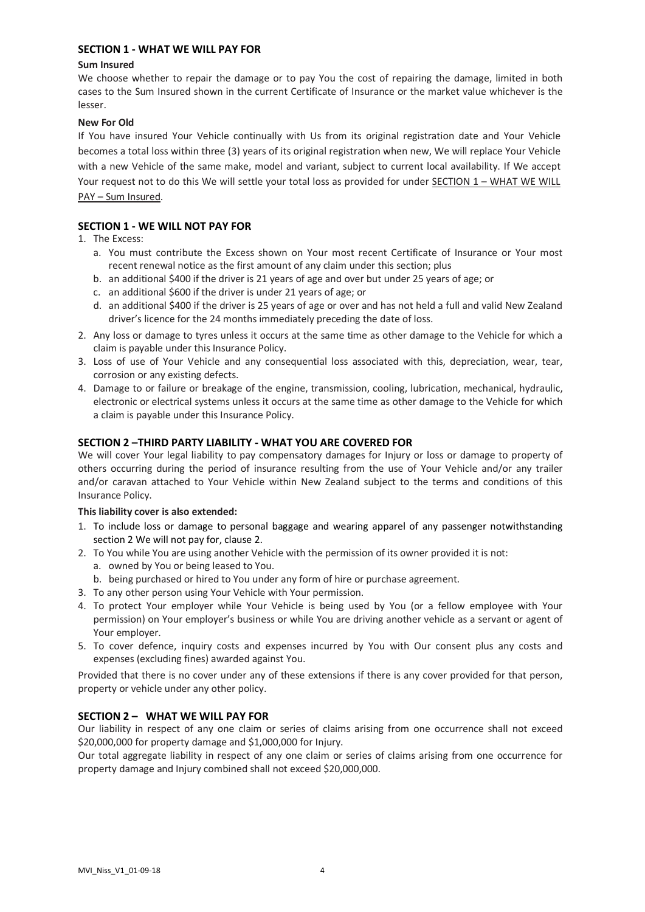# **SECTION 1 - WHAT WE WILL PAY FOR**

# **Sum Insured**

We choose whether to repair the damage or to pay You the cost of repairing the damage, limited in both cases to the Sum Insured shown in the current Certificate of Insurance or the market value whichever is the lesser.

# **New For Old**

If You have insured Your Vehicle continually with Us from its original registration date and Your Vehicle becomes a total loss within three (3) years of its original registration when new, We will replace Your Vehicle with a new Vehicle of the same make, model and variant, subject to current local availability. If We accept Your request not to do this We will settle your total loss as provided for under SECTION 1 – WHAT WE WILL PAY – Sum Insured.

# **SECTION 1 - WE WILL NOT PAY FOR**

- 1. The Excess:
	- a. You must contribute the Excess shown on Your most recent Certificate of Insurance or Your most recent renewal notice as the first amount of any claim under this section; plus
	- b. an additional \$400 if the driver is 21 years of age and over but under 25 years of age; or
	- c. an additional \$600 if the driver is under 21 years of age; or
	- d. an additional \$400 if the driver is 25 years of age or over and has not held a full and valid New Zealand driver's licence for the 24 months immediately preceding the date of loss.
- 2. Any loss or damage to tyres unless it occurs at the same time as other damage to the Vehicle for which a claim is payable under this Insurance Policy.
- 3. Loss of use of Your Vehicle and any consequential loss associated with this, depreciation, wear, tear, corrosion or any existing defects.
- 4. Damage to or failure or breakage of the engine, transmission, cooling, lubrication, mechanical, hydraulic, electronic or electrical systems unless it occurs at the same time as other damage to the Vehicle for which a claim is payable under this Insurance Policy.

# **SECTION 2 –THIRD PARTY LIABILITY - WHAT YOU ARE COVERED FOR**

We will cover Your legal liability to pay compensatory damages for Injury or loss or damage to property of others occurring during the period of insurance resulting from the use of Your Vehicle and/or any trailer and/or caravan attached to Your Vehicle within New Zealand subject to the terms and conditions of this Insurance Policy.

# **This liability cover is also extended:**

- 1. To include loss or damage to personal baggage and wearing apparel of any passenger notwithstanding section 2 We will not pay for, clause 2.
- 2. To You while You are using another Vehicle with the permission of its owner provided it is not:
	- a. owned by You or being leased to You.
	- b. being purchased or hired to You under any form of hire or purchase agreement.
- 3. To any other person using Your Vehicle with Your permission.
- 4. To protect Your employer while Your Vehicle is being used by You (or a fellow employee with Your permission) on Your employer's business or while You are driving another vehicle as a servant or agent of Your employer.
- 5. To cover defence, inquiry costs and expenses incurred by You with Our consent plus any costs and expenses (excluding fines) awarded against You.

Provided that there is no cover under any of these extensions if there is any cover provided for that person, property or vehicle under any other policy.

# **SECTION 2 – WHAT WE WILL PAY FOR**

Our liability in respect of any one claim or series of claims arising from one occurrence shall not exceed \$20,000,000 for property damage and \$1,000,000 for Injury.

Our total aggregate liability in respect of any one claim or series of claims arising from one occurrence for property damage and Injury combined shall not exceed \$20,000,000.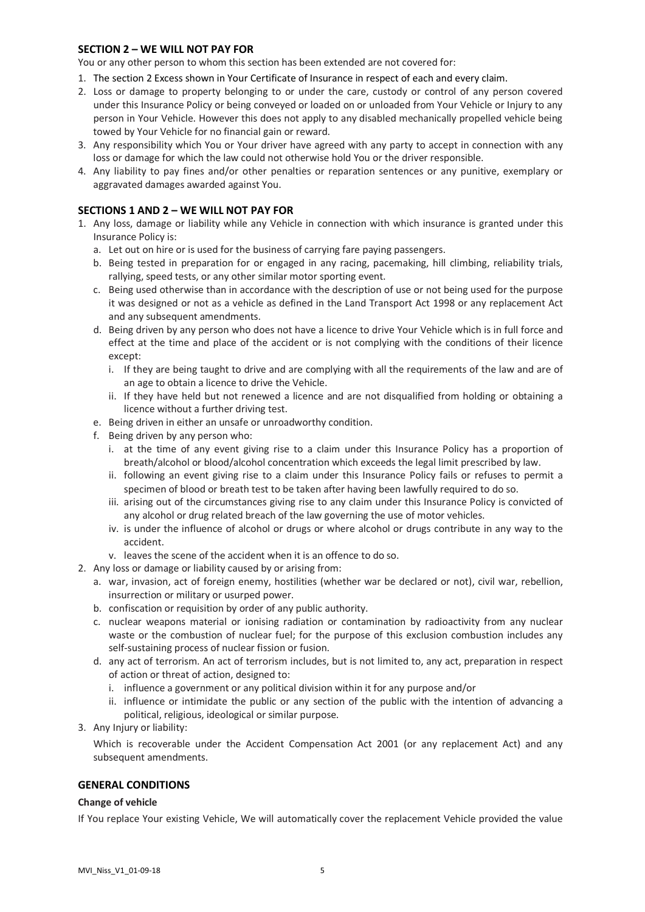# **SECTION 2 – WE WILL NOT PAY FOR**

You or any other person to whom this section has been extended are not covered for:

- 1. The section 2 Excess shown in Your Certificate of Insurance in respect of each and every claim.
- 2. Loss or damage to property belonging to or under the care, custody or control of any person covered under this Insurance Policy or being conveyed or loaded on or unloaded from Your Vehicle or Injury to any person in Your Vehicle. However this does not apply to any disabled mechanically propelled vehicle being towed by Your Vehicle for no financial gain or reward.
- 3. Any responsibility which You or Your driver have agreed with any party to accept in connection with any loss or damage for which the law could not otherwise hold You or the driver responsible.
- 4. Any liability to pay fines and/or other penalties or reparation sentences or any punitive, exemplary or aggravated damages awarded against You.

# **SECTIONS 1 AND 2 – WE WILL NOT PAY FOR**

- 1. Any loss, damage or liability while any Vehicle in connection with which insurance is granted under this Insurance Policy is:
	- a. Let out on hire or is used for the business of carrying fare paying passengers.
	- b. Being tested in preparation for or engaged in any racing, pacemaking, hill climbing, reliability trials, rallying, speed tests, or any other similar motor sporting event.
	- c. Being used otherwise than in accordance with the description of use or not being used for the purpose it was designed or not as a vehicle as defined in the Land Transport Act 1998 or any replacement Act and any subsequent amendments.
	- d. Being driven by any person who does not have a licence to drive Your Vehicle which is in full force and effect at the time and place of the accident or is not complying with the conditions of their licence except:
		- i. If they are being taught to drive and are complying with all the requirements of the law and are of an age to obtain a licence to drive the Vehicle.
		- ii. If they have held but not renewed a licence and are not disqualified from holding or obtaining a licence without a further driving test.
	- e. Being driven in either an unsafe or unroadworthy condition.
	- f. Being driven by any person who:
		- i. at the time of any event giving rise to a claim under this Insurance Policy has a proportion of breath/alcohol or blood/alcohol concentration which exceeds the legal limit prescribed by law.
		- ii. following an event giving rise to a claim under this Insurance Policy fails or refuses to permit a specimen of blood or breath test to be taken after having been lawfully required to do so.
		- iii. arising out of the circumstances giving rise to any claim under this Insurance Policy is convicted of any alcohol or drug related breach of the law governing the use of motor vehicles.
		- iv. is under the influence of alcohol or drugs or where alcohol or drugs contribute in any way to the accident.
		- v. leaves the scene of the accident when it is an offence to do so.
- 2. Any loss or damage or liability caused by or arising from:
	- a. war, invasion, act of foreign enemy, hostilities (whether war be declared or not), civil war, rebellion, insurrection or military or usurped power.
	- b. confiscation or requisition by order of any public authority.
	- c. nuclear weapons material or ionising radiation or contamination by radioactivity from any nuclear waste or the combustion of nuclear fuel; for the purpose of this exclusion combustion includes any self-sustaining process of nuclear fission or fusion.
	- d. any act of terrorism. An act of terrorism includes, but is not limited to, any act, preparation in respect of action or threat of action, designed to:
		- i. influence a government or any political division within it for any purpose and/or
		- ii. influence or intimidate the public or any section of the public with the intention of advancing a political, religious, ideological or similar purpose.
- 3. Any Injury or liability:

Which is recoverable under the Accident Compensation Act 2001 (or any replacement Act) and any subsequent amendments.

### **GENERAL CONDITIONS**

#### **Change of vehicle**

If You replace Your existing Vehicle, We will automatically cover the replacement Vehicle provided the value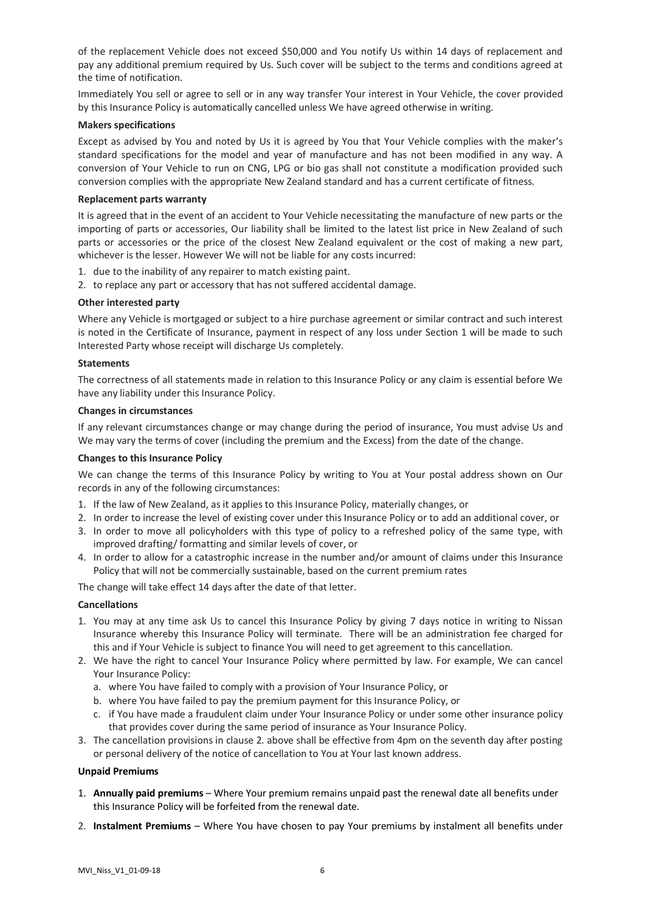of the replacement Vehicle does not exceed \$50,000 and You notify Us within 14 days of replacement and pay any additional premium required by Us. Such cover will be subject to the terms and conditions agreed at the time of notification.

Immediately You sell or agree to sell or in any way transfer Your interest in Your Vehicle, the cover provided by this Insurance Policy is automatically cancelled unless We have agreed otherwise in writing.

#### **Makers specifications**

Except as advised by You and noted by Us it is agreed by You that Your Vehicle complies with the maker's standard specifications for the model and year of manufacture and has not been modified in any way. A conversion of Your Vehicle to run on CNG, LPG or bio gas shall not constitute a modification provided such conversion complies with the appropriate New Zealand standard and has a current certificate of fitness.

### **Replacement parts warranty**

It is agreed that in the event of an accident to Your Vehicle necessitating the manufacture of new parts or the importing of parts or accessories, Our liability shall be limited to the latest list price in New Zealand of such parts or accessories or the price of the closest New Zealand equivalent or the cost of making a new part, whichever is the lesser. However We will not be liable for any costs incurred:

- 1. due to the inability of any repairer to match existing paint.
- 2. to replace any part or accessory that has not suffered accidental damage.

### **Other interested party**

Where any Vehicle is mortgaged or subject to a hire purchase agreement or similar contract and such interest is noted in the Certificate of Insurance, payment in respect of any loss under Section 1 will be made to such Interested Party whose receipt will discharge Us completely.

# **Statements**

The correctness of all statements made in relation to this Insurance Policy or any claim is essential before We have any liability under this Insurance Policy.

#### **Changes in circumstances**

If any relevant circumstances change or may change during the period of insurance, You must advise Us and We may vary the terms of cover (including the premium and the Excess) from the date of the change.

#### **Changes to this Insurance Policy**

We can change the terms of this Insurance Policy by writing to You at Your postal address shown on Our records in any of the following circumstances:

- 1. If the law of New Zealand, as it applies to this Insurance Policy, materially changes, or
- 2. In order to increase the level of existing cover under this Insurance Policy or to add an additional cover, or
- 3. In order to move all policyholders with this type of policy to a refreshed policy of the same type, with improved drafting/ formatting and similar levels of cover, or
- 4. In order to allow for a catastrophic increase in the number and/or amount of claims under this Insurance Policy that will not be commercially sustainable, based on the current premium rates
- The change will take effect 14 days after the date of that letter.

#### **Cancellations**

- 1. You may at any time ask Us to cancel this Insurance Policy by giving 7 days notice in writing to Nissan Insurance whereby this Insurance Policy will terminate. There will be an administration fee charged for this and if Your Vehicle is subject to finance You will need to get agreement to this cancellation.
- 2. We have the right to cancel Your Insurance Policy where permitted by law. For example, We can cancel Your Insurance Policy:
	- a. where You have failed to comply with a provision of Your Insurance Policy, or
	- b. where You have failed to pay the premium payment for this Insurance Policy, or
	- c. if You have made a fraudulent claim under Your Insurance Policy or under some other insurance policy that provides cover during the same period of insurance as Your Insurance Policy.
- 3. The cancellation provisions in clause 2. above shall be effective from 4pm on the seventh day after posting or personal delivery of the notice of cancellation to You at Your last known address.

#### **Unpaid Premiums**

- 1. **Annually paid premiums** Where Your premium remains unpaid past the renewal date all benefits under this Insurance Policy will be forfeited from the renewal date.
- 2. **Instalment Premiums** Where You have chosen to pay Your premiums by instalment all benefits under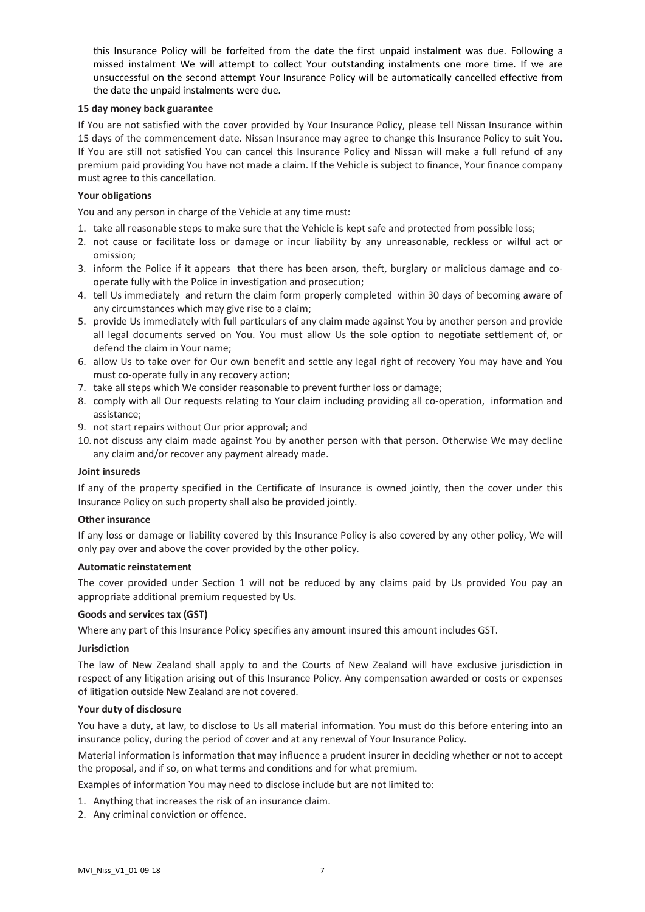this Insurance Policy will be forfeited from the date the first unpaid instalment was due. Following a missed instalment We will attempt to collect Your outstanding instalments one more time. If we are unsuccessful on the second attempt Your Insurance Policy will be automatically cancelled effective from the date the unpaid instalments were due.

### **15 day money back guarantee**

If You are not satisfied with the cover provided by Your Insurance Policy, please tell Nissan Insurance within 15 days of the commencement date. Nissan Insurance may agree to change this Insurance Policy to suit You. If You are still not satisfied You can cancel this Insurance Policy and Nissan will make a full refund of any premium paid providing You have not made a claim. If the Vehicle is subject to finance, Your finance company must agree to this cancellation.

# **Your obligations**

You and any person in charge of the Vehicle at any time must:

- 1. take all reasonable steps to make sure that the Vehicle is kept safe and protected from possible loss;
- 2. not cause or facilitate loss or damage or incur liability by any unreasonable, reckless or wilful act or omission;
- 3. inform the Police if it appears that there has been arson, theft, burglary or malicious damage and cooperate fully with the Police in investigation and prosecution;
- 4. tell Us immediately and return the claim form properly completed within 30 days of becoming aware of any circumstances which may give rise to a claim;
- 5. provide Us immediately with full particulars of any claim made against You by another person and provide all legal documents served on You. You must allow Us the sole option to negotiate settlement of, or defend the claim in Your name;
- 6. allow Us to take over for Our own benefit and settle any legal right of recovery You may have and You must co-operate fully in any recovery action;
- 7. take all steps which We consider reasonable to prevent further loss or damage;
- 8. comply with all Our requests relating to Your claim including providing all co-operation, information and assistance;
- 9. not start repairs without Our prior approval; and
- 10. not discuss any claim made against You by another person with that person. Otherwise We may decline any claim and/or recover any payment already made.

### **Joint insureds**

If any of the property specified in the Certificate of Insurance is owned jointly, then the cover under this Insurance Policy on such property shall also be provided jointly.

#### **Other insurance**

If any loss or damage or liability covered by this Insurance Policy is also covered by any other policy, We will only pay over and above the cover provided by the other policy.

#### **Automatic reinstatement**

The cover provided under Section 1 will not be reduced by any claims paid by Us provided You pay an appropriate additional premium requested by Us.

#### **Goods and services tax (GST)**

Where any part of this Insurance Policy specifies any amount insured this amount includes GST.

#### **Jurisdiction**

The law of New Zealand shall apply to and the Courts of New Zealand will have exclusive jurisdiction in respect of any litigation arising out of this Insurance Policy. Any compensation awarded or costs or expenses of litigation outside New Zealand are not covered.

#### **Your duty of disclosure**

You have a duty, at law, to disclose to Us all material information. You must do this before entering into an insurance policy, during the period of cover and at any renewal of Your Insurance Policy.

Material information is information that may influence a prudent insurer in deciding whether or not to accept the proposal, and if so, on what terms and conditions and for what premium.

Examples of information You may need to disclose include but are not limited to:

- 1. Anything that increases the risk of an insurance claim.
- 2. Any criminal conviction or offence.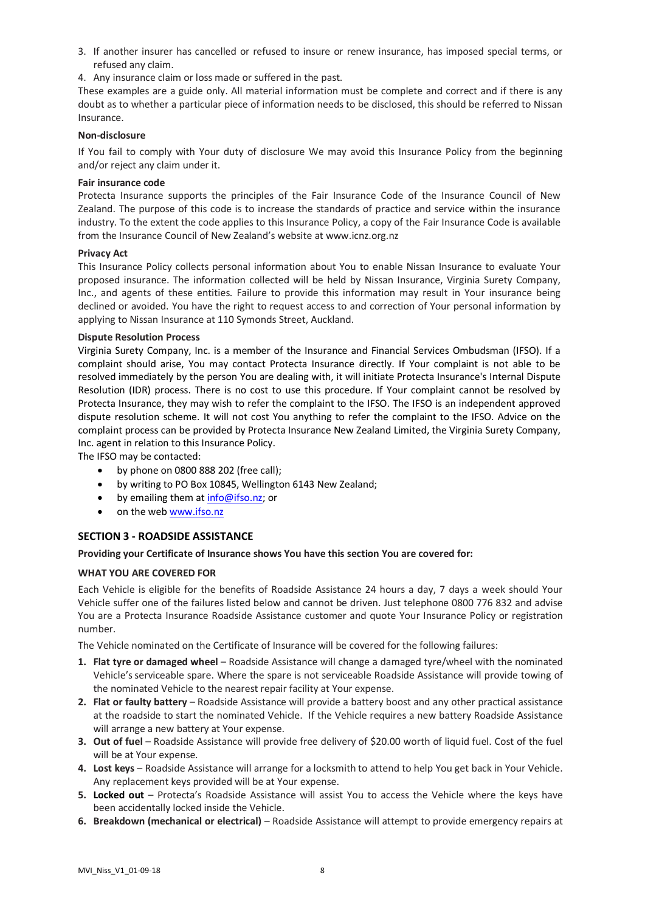- 3. If another insurer has cancelled or refused to insure or renew insurance, has imposed special terms, or refused any claim.
- 4. Any insurance claim or loss made or suffered in the past.

These examples are a guide only. All material information must be complete and correct and if there is any doubt as to whether a particular piece of information needs to be disclosed, this should be referred to Nissan Insurance.

### **Non-disclosure**

If You fail to comply with Your duty of disclosure We may avoid this Insurance Policy from the beginning and/or reject any claim under it.

# **Fair insurance code**

Protecta Insurance supports the principles of the Fair Insurance Code of the Insurance Council of New Zealand. The purpose of this code is to increase the standards of practice and service within the insurance industry. To the extent the code applies to this Insurance Policy, a copy of the Fair Insurance Code is available from the Insurance Council of New Zealand's website at www.icnz.org.nz

### **Privacy Act**

This Insurance Policy collects personal information about You to enable Nissan Insurance to evaluate Your proposed insurance. The information collected will be held by Nissan Insurance, Virginia Surety Company, Inc., and agents of these entities. Failure to provide this information may result in Your insurance being declined or avoided. You have the right to request access to and correction of Your personal information by applying to Nissan Insurance at 110 Symonds Street, Auckland.

#### **Dispute Resolution Process**

Virginia Surety Company, Inc. is a member of the Insurance and Financial Services Ombudsman (IFSO). If a complaint should arise, You may contact Protecta Insurance directly. If Your complaint is not able to be resolved immediately by the person You are dealing with, it will initiate Protecta Insurance's Internal Dispute Resolution (IDR) process. There is no cost to use this procedure. If Your complaint cannot be resolved by Protecta Insurance, they may wish to refer the complaint to the IFSO. The IFSO is an independent approved dispute resolution scheme. It will not cost You anything to refer the complaint to the IFSO. Advice on the complaint process can be provided by Protecta Insurance New Zealand Limited, the Virginia Surety Company, Inc. agent in relation to this Insurance Policy.

The IFSO may be contacted:

- by phone on 0800 888 202 (free call);
- by writing to PO Box 10845, Wellington 6143 New Zealand;
- by emailing them a[t info@ifso.nz;](mailto:info@ifso.nz) or
- on the we[b www.ifso.nz](http://www.ifso.nz/)

# **SECTION 3 - ROADSIDE ASSISTANCE**

#### **Providing your Certificate of Insurance shows You have this section You are covered for:**

# **WHAT YOU ARE COVERED FOR**

Each Vehicle is eligible for the benefits of Roadside Assistance 24 hours a day, 7 days a week should Your Vehicle suffer one of the failures listed below and cannot be driven. Just telephone 0800 776 832 and advise You are a Protecta Insurance Roadside Assistance customer and quote Your Insurance Policy or registration number.

The Vehicle nominated on the Certificate of Insurance will be covered for the following failures:

- **1. Flat tyre or damaged wheel** Roadside Assistance will change a damaged tyre/wheel with the nominated Vehicle'sserviceable spare. Where the spare is not serviceable Roadside Assistance will provide towing of the nominated Vehicle to the nearest repair facility at Your expense.
- **2. Flat or faulty battery** Roadside Assistance will provide a battery boost and any other practical assistance at the roadside to start the nominated Vehicle. If the Vehicle requires a new battery Roadside Assistance will arrange a new battery at Your expense.
- **3. Out of fuel** Roadside Assistance will provide free delivery of \$20.00 worth of liquid fuel. Cost of the fuel will be at Your expense.
- **4. Lost keys** Roadside Assistance will arrange for a locksmith to attend to help You get back in Your Vehicle. Any replacement keys provided will be at Your expense.
- **5. Locked out** Protecta's Roadside Assistance will assist You to access the Vehicle where the keys have been accidentally locked inside the Vehicle.
- **6. Breakdown (mechanical or electrical)** Roadside Assistance will attempt to provide emergency repairs at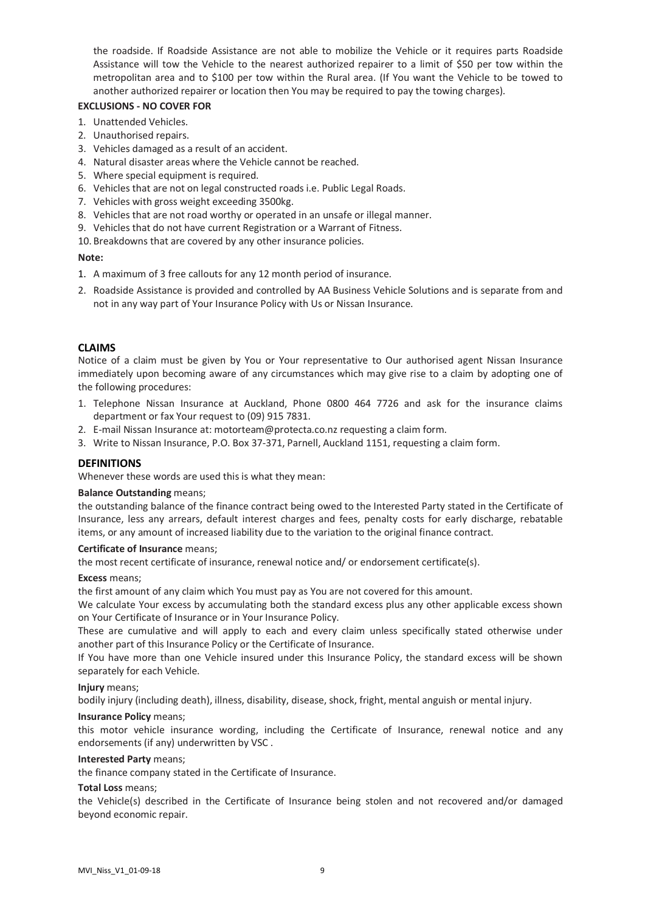the roadside. If Roadside Assistance are not able to mobilize the Vehicle or it requires parts Roadside Assistance will tow the Vehicle to the nearest authorized repairer to a limit of \$50 per tow within the metropolitan area and to \$100 per tow within the Rural area. (If You want the Vehicle to be towed to another authorized repairer or location then You may be required to pay the towing charges).

# **EXCLUSIONS - NO COVER FOR**

- 1. Unattended Vehicles.
- 2. Unauthorised repairs.
- 3. Vehicles damaged as a result of an accident.
- 4. Natural disaster areas where the Vehicle cannot be reached.
- 5. Where special equipment is required.
- 6. Vehicles that are not on legal constructed roads i.e. Public Legal Roads.
- 7. Vehicles with gross weight exceeding 3500kg.
- 8. Vehicles that are not road worthy or operated in an unsafe or illegal manner.
- 9. Vehicles that do not have current Registration or a Warrant of Fitness.
- 10. Breakdowns that are covered by any other insurance policies.

# **Note:**

- 1. A maximum of 3 free callouts for any 12 month period of insurance.
- 2. Roadside Assistance is provided and controlled by AA Business Vehicle Solutions and is separate from and not in any way part of Your Insurance Policy with Us or Nissan Insurance.

# **CLAIMS**

Notice of a claim must be given by You or Your representative to Our authorised agent Nissan Insurance immediately upon becoming aware of any circumstances which may give rise to a claim by adopting one of the following procedures:

- 1. Telephone Nissan Insurance at Auckland, Phone 0800 464 7726 and ask for the insurance claims department or fax Your request to (09) 915 7831.
- 2. E-mail Nissan Insurance at[: motorteam@protecta.co.nz](mailto:motorteam@protecta.co.nz) requesting a claim form.
- 3. Write to Nissan Insurance, P.O. Box 37-371, Parnell, Auckland 1151, requesting a claim form.

# **DEFINITIONS**

Whenever these words are used this is what they mean:

# **Balance Outstanding** means;

the outstanding balance of the finance contract being owed to the Interested Party stated in the Certificate of Insurance, less any arrears, default interest charges and fees, penalty costs for early discharge, rebatable items, or any amount of increased liability due to the variation to the original finance contract.

# **Certificate of Insurance** means;

the most recent certificate of insurance, renewal notice and/ or endorsement certificate(s).

# **Excess** means;

the first amount of any claim which You must pay as You are not covered for this amount.

We calculate Your excess by accumulating both the standard excess plus any other applicable excess shown on Your Certificate of Insurance or in Your Insurance Policy.

These are cumulative and will apply to each and every claim unless specifically stated otherwise under another part of this Insurance Policy or the Certificate of Insurance.

If You have more than one Vehicle insured under this Insurance Policy, the standard excess will be shown separately for each Vehicle.

# **Injury** means;

bodily injury (including death), illness, disability, disease, shock, fright, mental anguish or mental injury.

# **Insurance Policy** means;

this motor vehicle insurance wording, including the Certificate of Insurance, renewal notice and any endorsements (if any) underwritten by VSC .

# **Interested Party** means;

the finance company stated in the Certificate of Insurance.

# **Total Loss** means;

the Vehicle(s) described in the Certificate of Insurance being stolen and not recovered and/or damaged beyond economic repair.